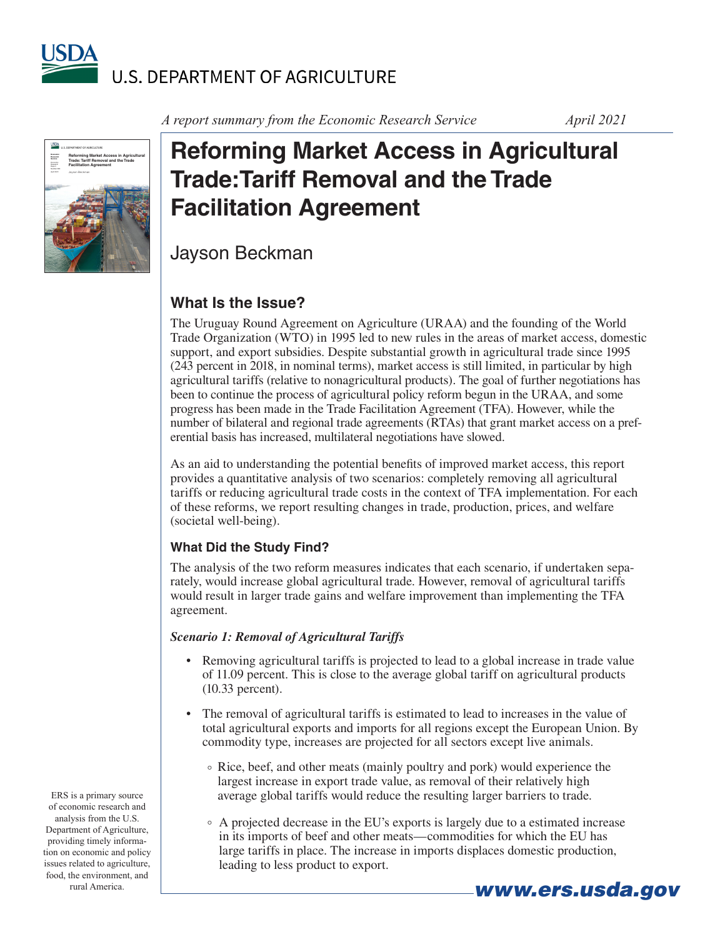



*A report summary from the Economic Research Service April 2021*

# **Reforming Market Access in Agricultural Trade:Tariff Removal and the Trade Facilitation Agreement**

Jayson Beckman

## **What Is the Issue?**

The Uruguay Round Agreement on Agriculture (URAA) and the founding of the World Trade Organization (WTO) in 1995 led to new rules in the areas of market access, domestic support, and export subsidies. Despite substantial growth in agricultural trade since 1995 (243 percent in 2018, in nominal terms), market access is still limited, in particular by high agricultural tariffs (relative to nonagricultural products). The goal of further negotiations has been to continue the process of agricultural policy reform begun in the URAA, and some progress has been made in the Trade Facilitation Agreement (TFA). However, while the number of bilateral and regional trade agreements (RTAs) that grant market access on a preferential basis has increased, multilateral negotiations have slowed.

As an aid to understanding the potential benefits of improved market access, this report provides a quantitative analysis of two scenarios: completely removing all agricultural tariffs or reducing agricultural trade costs in the context of TFA implementation. For each of these reforms, we report resulting changes in trade, production, prices, and welfare (societal well-being).

#### **What Did the Study Find?**

The analysis of the two reform measures indicates that each scenario, if undertaken separately, would increase global agricultural trade. However, removal of agricultural tariffs would result in larger trade gains and welfare improvement than implementing the TFA agreement.

#### *Scenario 1: Removal of Agricultural Tariffs*

- Removing agricultural tariffs is projected to lead to a global increase in trade value of 11.09 percent. This is close to the average global tariff on agricultural products (10.33 percent).
- The removal of agricultural tariffs is estimated to lead to increases in the value of total agricultural exports and imports for all regions except the European Union. By commodity type, increases are projected for all sectors except live animals.
	- ° Rice, beef, and other meats (mainly poultry and pork) would experience the largest increase in export trade value, as removal of their relatively high average global tariffs would reduce the resulting larger barriers to trade.
	- ° A projected decrease in the EU's exports is largely due to a estimated increase in its imports of beef and other meats—commodities for which the EU has large tariffs in place. The increase in imports displaces domestic production, leading to less product to export.

ERS is a primary source of economic research and analysis from the U.S. Department of Agriculture, providing timely information on economic and policy issues related to agriculture, food, the environment, and